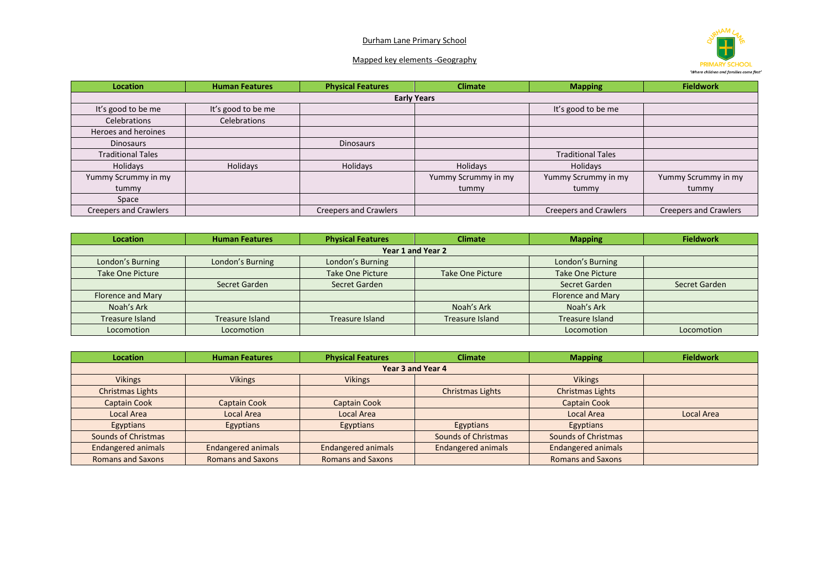## Durham Lane Primary School



## Mapped key elements -Geography

| <b>Location</b>              | <b>Human Features</b> | <b>Physical Features</b>     | <b>Climate</b>      | <b>Mapping</b>               | <b>Fieldwork</b>             |  |
|------------------------------|-----------------------|------------------------------|---------------------|------------------------------|------------------------------|--|
| <b>Early Years</b>           |                       |                              |                     |                              |                              |  |
| It's good to be me           | It's good to be me    |                              |                     | It's good to be me           |                              |  |
| Celebrations                 | <b>Celebrations</b>   |                              |                     |                              |                              |  |
| Heroes and heroines          |                       |                              |                     |                              |                              |  |
| <b>Dinosaurs</b>             |                       | Dinosaurs                    |                     |                              |                              |  |
| <b>Traditional Tales</b>     |                       |                              |                     | <b>Traditional Tales</b>     |                              |  |
| Holidays                     | Holidays              | Holidays                     | Holidays            | Holidays                     |                              |  |
| Yummy Scrummy in my          |                       |                              | Yummy Scrummy in my | Yummy Scrummy in my          | Yummy Scrummy in my          |  |
| tummy                        |                       |                              | tummy               | tummy                        | tummy                        |  |
| Space                        |                       |                              |                     |                              |                              |  |
| <b>Creepers and Crawlers</b> |                       | <b>Creepers and Crawlers</b> |                     | <b>Creepers and Crawlers</b> | <b>Creepers and Crawlers</b> |  |

| <b>Location</b>          | <b>Human Features</b> | <b>Physical Features</b> | <b>Climate</b>   | <b>Mapping</b>           | <b>Fieldwork</b> |  |
|--------------------------|-----------------------|--------------------------|------------------|--------------------------|------------------|--|
| Year 1 and Year 2        |                       |                          |                  |                          |                  |  |
| London's Burning         | London's Burning      | London's Burning         |                  | London's Burning         |                  |  |
| <b>Take One Picture</b>  |                       | <b>Take One Picture</b>  | Take One Picture | <b>Take One Picture</b>  |                  |  |
|                          | Secret Garden         | Secret Garden            |                  | Secret Garden            | Secret Garden    |  |
| <b>Florence and Mary</b> |                       |                          |                  | <b>Florence and Mary</b> |                  |  |
| Noah's Ark               |                       |                          | Noah's Ark       | Noah's Ark               |                  |  |
| Treasure Island          | Treasure Island       | Treasure Island          | Treasure Island  | Treasure Island          |                  |  |
| Locomotion               | Locomotion            |                          |                  | Locomotion               | Locomotion       |  |

| <b>Location</b>           | <b>Human Features</b>     | <b>Physical Features</b>  | <b>Climate</b>            | <b>Mapping</b>            | <b>Fieldwork</b> |  |
|---------------------------|---------------------------|---------------------------|---------------------------|---------------------------|------------------|--|
| Year 3 and Year 4         |                           |                           |                           |                           |                  |  |
| <b>Vikings</b>            | <b>Vikings</b>            | <b>Vikings</b>            |                           | <b>Vikings</b>            |                  |  |
| <b>Christmas Lights</b>   |                           |                           | Christmas Lights          | <b>Christmas Lights</b>   |                  |  |
| <b>Captain Cook</b>       | <b>Captain Cook</b>       | <b>Captain Cook</b>       |                           | <b>Captain Cook</b>       |                  |  |
| Local Area                | Local Area                | Local Area                |                           | Local Area                | Local Area       |  |
| Egyptians                 | Egyptians                 | Egyptians                 | Egyptians                 | Egyptians                 |                  |  |
| Sounds of Christmas       |                           |                           | Sounds of Christmas       | Sounds of Christmas       |                  |  |
| <b>Endangered animals</b> | <b>Endangered animals</b> | <b>Endangered animals</b> | <b>Endangered animals</b> | <b>Endangered animals</b> |                  |  |
| <b>Romans and Saxons</b>  | <b>Romans and Saxons</b>  | <b>Romans and Saxons</b>  |                           | <b>Romans and Saxons</b>  |                  |  |